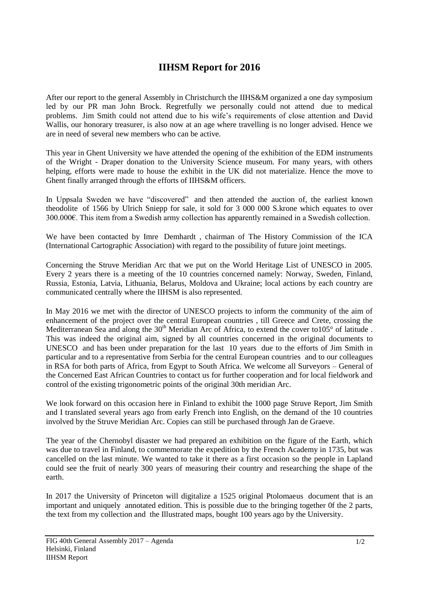## **IIHSM Report for 2016**

After our report to the general Assembly in Christchurch the IIHS&M organized a one day symposium led by our PR man John Brock. Regretfully we personally could not attend due to medical problems. Jim Smith could not attend due to his wife's requirements of close attention and David Wallis, our honorary treasurer, is also now at an age where travelling is no longer advised. Hence we are in need of several new members who can be active.

This year in Ghent University we have attended the opening of the exhibition of the EDM instruments of the Wright - Draper donation to the University Science museum. For many years, with others helping, efforts were made to house the exhibit in the UK did not materialize. Hence the move to Ghent finally arranged through the efforts of IIHS&M officers.

In Uppsala Sweden we have "discovered" and then attended the auction of, the earliest known theodolite of 1566 by Ulrich Sniepp for sale, it sold for 3 000 000 S.krone which equates to over 300.000€. This item from a Swedish army collection has apparently remained in a Swedish collection.

We have been contacted by Imre Demhardt , chairman of The History Commission of the ICA (International Cartographic Association) with regard to the possibility of future joint meetings.

Concerning the Struve Meridian Arc that we put on the World Heritage List of UNESCO in 2005. Every 2 years there is a meeting of the 10 countries concerned namely: Norway, Sweden, Finland, Russia, Estonia, Latvia, Lithuania, Belarus, Moldova and Ukraine; local actions by each country are communicated centrally where the IIHSM is also represented.

In May 2016 we met with the director of UNESCO projects to inform the community of the aim of enhancement of the project over the central European countries , till Greece and Crete, crossing the Mediterranean Sea and along the  $30<sup>th</sup>$  Meridian Arc of Africa, to extend the cover to  $105<sup>°</sup>$  of latitude. This was indeed the original aim, signed by all countries concerned in the original documents to UNESCO and has been under preparation for the last 10 years due to the efforts of Jim Smith in particular and to a representative from Serbia for the central European countries and to our colleagues in RSA for both parts of Africa, from Egypt to South Africa. We welcome all Surveyors – General of the Concerned East African Countries to contact us for further cooperation and for local fieldwork and control of the existing trigonometric points of the original 30th meridian Arc.

We look forward on this occasion here in Finland to exhibit the 1000 page Struve Report, Jim Smith and I translated several years ago from early French into English, on the demand of the 10 countries involved by the Struve Meridian Arc. Copies can still be purchased through Jan de Graeve.

The year of the Chernobyl disaster we had prepared an exhibition on the figure of the Earth, which was due to travel in Finland, to commemorate the expedition by the French Academy in 1735, but was cancelled on the last minute. We wanted to take it there as a first occasion so the people in Lapland could see the fruit of nearly 300 years of measuring their country and researching the shape of the earth.

In 2017 the University of Princeton will digitalize a 1525 original Ptolomaeus document that is an important and uniquely annotated edition. This is possible due to the bringing together 0f the 2 parts, the text from my collection and the Illustrated maps, bought 100 years ago by the University.